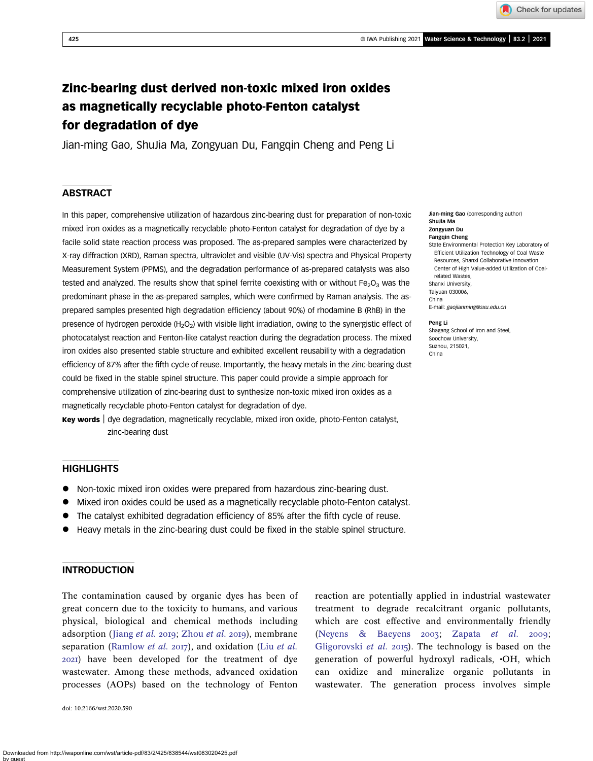Check for updates

# Zinc-bearing dust derived non-toxic mixed iron oxides as magnetically recyclable photo-Fenton catalyst for degradation of dye

Jian-ming Gao, ShuJia Ma, Zongyuan Du, Fangqin Cheng and Peng Li

## **ABSTRACT**

In this paper, comprehensive utilization of hazardous zinc-bearing dust for preparation of non-toxic mixed iron oxides as a magnetically recyclable photo-Fenton catalyst for degradation of dye by a facile solid state reaction process was proposed. The as-prepared samples were characterized by X-ray diffraction (XRD), Raman spectra, ultraviolet and visible (UV-Vis) spectra and Physical Property Measurement System (PPMS), and the degradation performance of as-prepared catalysts was also tested and analyzed. The results show that spinel ferrite coexisting with or without  $Fe<sub>2</sub>O<sub>3</sub>$  was the predominant phase in the as-prepared samples, which were confirmed by Raman analysis. The asprepared samples presented high degradation efficiency (about 90%) of rhodamine B (RhB) in the presence of hydrogen peroxide  $(H_2O_2)$  with visible light irradiation, owing to the synergistic effect of photocatalyst reaction and Fenton-like catalyst reaction during the degradation process. The mixed iron oxides also presented stable structure and exhibited excellent reusability with a degradation efficiency of 87% after the fifth cycle of reuse. Importantly, the heavy metals in the zinc-bearing dust could be fixed in the stable spinel structure. This paper could provide a simple approach for comprehensive utilization of zinc-bearing dust to synthesize non-toxic mixed iron oxides as a magnetically recyclable photo-Fenton catalyst for degradation of dye.

Key words | dye degradation, magnetically recyclable, mixed iron oxide, photo-Fenton catalyst, zinc-bearing dust

## HIGHLIGHTS

- Non-toxic mixed iron oxides were prepared from hazardous zinc-bearing dust.
- Mixed iron oxides could be used as a magnetically recyclable photo-Fenton catalyst.
- The catalyst exhibited degradation efficiency of 85% after the fifth cycle of reuse.
- Heavy metals in the zinc-bearing dust could be fixed in the stable spinel structure.

## INTRODUCTION

The contamination caused by organic dyes has been of great concern due to the toxicity to humans, and various physical, biological and chemical methods including adsorption ([Jiang](#page-8-0) et al. 2019; [Zhou](#page-9-0) et al. 2019), membrane separation [\(Ramlow](#page-8-0) *[et al.](#page-8-0) 2017*), and oxidation (Liu *et al.* ) have been developed for the treatment of dye wastewater. Among these methods, advanced oxidation processes (AOPs) based on the technology of Fenton

doi: 10.2166/wst.2020.590

reaction are potentially applied in industrial wastewater treatment to degrade recalcitrant organic pollutants, which are cost effective and environmentally friendly [\(Neyens & Baeyens](#page-8-0)  $2003$ ; [Zapata](#page-9-0) et al.  $2009$ ; [Gligorovski](#page-8-0) *et al.* 2015). The technology is based on the generation of powerful hydroxyl radicals, •OH, which can oxidize and mineralize organic pollutants in wastewater. The generation process involves simple

Downloaded from http://iwaponline.com/wst/article-pdf/83/2/425/838544/wst083020425.pdf by guest

Jian-ming Gao (corresponding author) ShuJia Ma Zongyuan Du Fangqin Cheng State Environmental Protection Key Laboratory of Efficient Utilization Technology of Coal Waste Resources, Shanxi Collaborative Innovation Center of High Value-added Utilization of Coalrelated Wastes, Shanxi University, Taiyuan 030006, China E-mail: [gaojianming@sxu.edu.cn](mailto:gaojianming@sxu.edu.cn)

#### Peng Li

Shagang School of Iron and Steel, Soochow University, Suzhou, 215021, China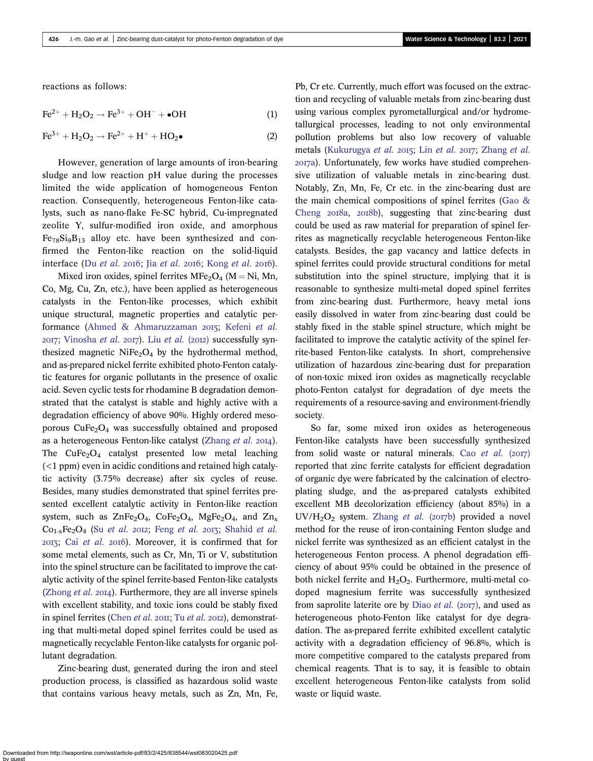reactions as follows:

$$
\text{Fe}^{2+} + \text{H}_2\text{O}_2 \rightarrow \text{Fe}^{3+} + \text{OH}^- + \bullet \text{OH}
$$
 (1)

$$
\text{Fe}^{3+} + \text{H}_2\text{O}_2 \rightarrow \text{Fe}^{2+} + \text{H}^+ + \text{HO}_2\bullet
$$
 (2)

However, generation of large amounts of iron-bearing sludge and low reaction pH value during the processes limited the wide application of homogeneous Fenton reaction. Consequently, heterogeneous Fenton-like catalysts, such as nano-flake Fe-SC hybrid, Cu-impregnated zeolite Y, sulfur-modified iron oxide, and amorphous  $Fe_{78}Si_9B_{13}$  alloy etc. have been synthesized and confirmed the Fenton-like reaction on the solid-liquid interface (Du [et al.](#page-8-0) 2016; Jia et al. 2016; [Kong](#page-8-0) et al. 2016).

Mixed iron oxides, spinel ferrites  $MFe<sub>2</sub>O<sub>4</sub>$  (M = Ni, Mn, Co, Mg, Cu, Zn, etc.), have been applied as heterogeneous catalysts in the Fenton-like processes, which exhibit unique structural, magnetic properties and catalytic per-formance ([Ahmed & Ahmaruzzaman](#page-7-0) 2015; [Kefeni](#page-8-0) et al.  $2017$ ; [Vinosha](#page-8-0) [et al.](#page-8-0)  $2017$ ). Liu et al. ( $2012$ ) successfully synthesized magnetic  $NiFe<sub>2</sub>O<sub>4</sub>$  by the hydrothermal method, and as-prepared nickel ferrite exhibited photo-Fenton catalytic features for organic pollutants in the presence of oxalic acid. Seven cyclic tests for rhodamine B degradation demonstrated that the catalyst is stable and highly active with a degradation efficiency of above 90%. Highly ordered mesoporous  $CuFe<sub>2</sub>O<sub>4</sub>$  was successfully obtained and proposed as a heterogeneous Fenton-like catalyst [\(Zhang](#page-9-0) *et al.* 2014). The  $CuFe<sub>2</sub>O<sub>4</sub>$  catalyst presented low metal leaching  $(<1$  ppm) even in acidic conditions and retained high catalytic activity (3.75% decrease) after six cycles of reuse. Besides, many studies demonstrated that spinel ferrites presented excellent catalytic activity in Fenton-like reaction system, such as  $ZnFe<sub>2</sub>O<sub>4</sub>$ ,  $CoFe<sub>2</sub>O<sub>4</sub>$ ,  $MgFe<sub>2</sub>O<sub>4</sub>$ , and  $Zn<sub>x</sub>$  $Co_{1-x}Fe_{2}O_{4}$  (Su [et al.](#page-8-0) 2012; Feng et al. 2013; [Shahid](#page-8-0) et al. 2013; Cai [et al.](#page-7-0) 2016). Moreover, it is confirmed that for some metal elements, such as Cr, Mn, Ti or V, substitution into the spinel structure can be facilitated to improve the catalytic activity of the spinel ferrite-based Fenton-like catalysts ([Zhong](#page-9-0)  $et$  al.  $20I4$ ). Furthermore, they are all inverse spinels with excellent stability, and toxic ions could be stably fixed in spinel ferrites ([Chen](#page-8-0) *[et al.](#page-8-0)*  $20II$ ; Tu *et al.*  $20I2$ ), demonstrating that multi-metal doped spinel ferrites could be used as magnetically recyclable Fenton-like catalysts for organic pollutant degradation.

Zinc-bearing dust, generated during the iron and steel production process, is classified as hazardous solid waste that contains various heavy metals, such as Zn, Mn, Fe,

Pb, Cr etc. Currently, much effort was focused on the extraction and recycling of valuable metals from zinc-bearing dust using various complex pyrometallurgical and/or hydrometallurgical processes, leading to not only environmental pollution problems but also low recovery of valuable metals [\(Kukurugya](#page-8-0) [et al.](#page-8-0) 2015; Lin et al. 2017; [Zhang](#page-9-0) et al. a). Unfortunately, few works have studied comprehensive utilization of valuable metals in zinc-bearing dust. Notably, Zn, Mn, Fe, Cr etc. in the zinc-bearing dust are the main chemical compositions of spinel ferrites [\(Gao &](#page-8-0) [Cheng](#page-8-0)  $2018a$ ,  $2018b$ ), suggesting that zinc-bearing dust could be used as raw material for preparation of spinel ferrites as magnetically recyclable heterogeneous Fenton-like catalysts. Besides, the gap vacancy and lattice defects in spinel ferrites could provide structural conditions for metal substitution into the spinel structure, implying that it is reasonable to synthesize multi-metal doped spinel ferrites from zinc-bearing dust. Furthermore, heavy metal ions easily dissolved in water from zinc-bearing dust could be stably fixed in the stable spinel structure, which might be facilitated to improve the catalytic activity of the spinel ferrite-based Fenton-like catalysts. In short, comprehensive utilization of hazardous zinc-bearing dust for preparation of non-toxic mixed iron oxides as magnetically recyclable photo-Fenton catalyst for degradation of dye meets the requirements of a resource-saving and environment-friendly society.

So far, some mixed iron oxides as heterogeneous Fenton-like catalysts have been successfully synthesized from solid waste or natural minerals. Cao [et al.](#page-8-0)  $(2017)$ reported that zinc ferrite catalysts for efficient degradation of organic dye were fabricated by the calcination of electroplating sludge, and the as-prepared catalysts exhibited excellent MB decolorization efficiency (about 85%) in a UV/H<sub>2</sub>O<sub>2</sub> system. [Zhang](#page-9-0) et al. (2017b) provided a novel method for the reuse of iron-containing Fenton sludge and nickel ferrite was synthesized as an efficient catalyst in the heterogeneous Fenton process. A phenol degradation efficiency of about 95% could be obtained in the presence of both nickel ferrite and  $H_2O_2$ . Furthermore, multi-metal codoped magnesium ferrite was successfully synthesized from saprolite laterite ore by Diao *[et al.](#page-8-0)* ( $2017$ ), and used as heterogeneous photo-Fenton like catalyst for dye degradation. The as-prepared ferrite exhibited excellent catalytic activity with a degradation efficiency of 96.8%, which is more competitive compared to the catalysts prepared from chemical reagents. That is to say, it is feasible to obtain excellent heterogeneous Fenton-like catalysts from solid waste or liquid waste.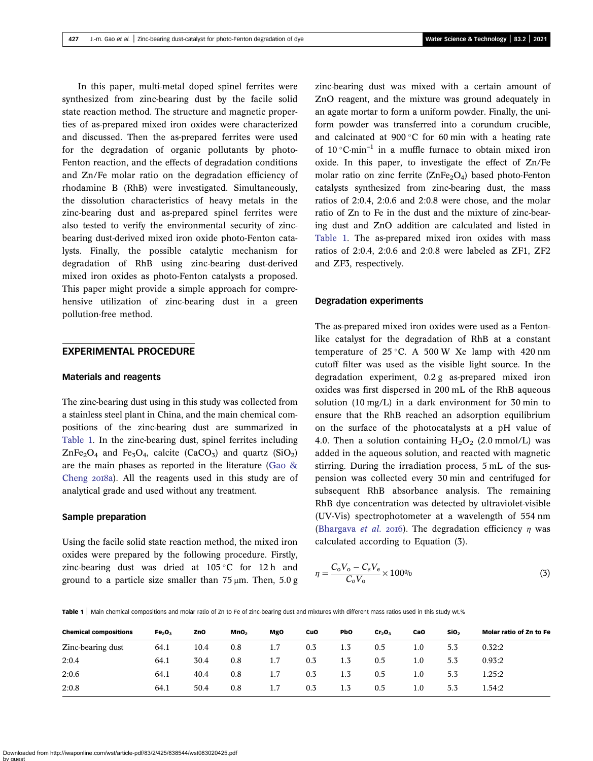In this paper, multi-metal doped spinel ferrites were synthesized from zinc-bearing dust by the facile solid state reaction method. The structure and magnetic properties of as-prepared mixed iron oxides were characterized and discussed. Then the as-prepared ferrites were used for the degradation of organic pollutants by photo-Fenton reaction, and the effects of degradation conditions and Zn/Fe molar ratio on the degradation efficiency of rhodamine B (RhB) were investigated. Simultaneously, the dissolution characteristics of heavy metals in the zinc-bearing dust and as-prepared spinel ferrites were also tested to verify the environmental security of zincbearing dust-derived mixed iron oxide photo-Fenton catalysts. Finally, the possible catalytic mechanism for degradation of RhB using zinc-bearing dust-derived mixed iron oxides as photo-Fenton catalysts a proposed. This paper might provide a simple approach for comprehensive utilization of zinc-bearing dust in a green pollution-free method.

#### EXPERIMENTAL PROCEDURE

#### Materials and reagents

The zinc-bearing dust using in this study was collected from a stainless steel plant in China, and the main chemical compositions of the zinc-bearing dust are summarized in Table 1. In the zinc-bearing dust, spinel ferrites including  $ZnFe<sub>2</sub>O<sub>4</sub>$  and Fe<sub>3</sub>O<sub>4</sub>, calcite (CaCO<sub>3</sub>) and quartz (SiO<sub>2</sub>) are the main phases as reported in the literature [\(Gao &](#page-8-0) [Cheng](#page-8-0) 2018a). All the reagents used in this study are of analytical grade and used without any treatment.

#### Sample preparation

Using the facile solid state reaction method, the mixed iron oxides were prepared by the following procedure. Firstly, zinc-bearing dust was dried at  $105\degree C$  for 12 h and ground to a particle size smaller than  $75 \mu m$ . Then,  $5.0 g$  zinc-bearing dust was mixed with a certain amount of ZnO reagent, and the mixture was ground adequately in an agate mortar to form a uniform powder. Finally, the uniform powder was transferred into a corundum crucible, and calcinated at 900 $^{\circ}$ C for 60 min with a heating rate of  $10^{\circ}$ C·min<sup>-1</sup> in a muffle furnace to obtain mixed iron oxide. In this paper, to investigate the effect of Zn/Fe molar ratio on zinc ferrite  $(ZnFe<sub>2</sub>O<sub>4</sub>)$  based photo-Fenton catalysts synthesized from zinc-bearing dust, the mass ratios of 2:0.4, 2:0.6 and 2:0.8 were chose, and the molar ratio of Zn to Fe in the dust and the mixture of zinc-bearing dust and ZnO addition are calculated and listed in Table 1. The as-prepared mixed iron oxides with mass ratios of 2:0.4, 2:0.6 and 2:0.8 were labeled as ZF1, ZF2 and ZF3, respectively.

#### Degradation experiments

The as-prepared mixed iron oxides were used as a Fentonlike catalyst for the degradation of RhB at a constant temperature of  $25^{\circ}$ C. A 500 W Xe lamp with 420 nm cutoff filter was used as the visible light source. In the degradation experiment, 0.2 g as-prepared mixed iron oxides was first dispersed in 200 mL of the RhB aqueous solution (10 mg/L) in a dark environment for 30 min to ensure that the RhB reached an adsorption equilibrium on the surface of the photocatalysts at a pH value of 4.0. Then a solution containing  $H_2O_2$  (2.0 mmol/L) was added in the aqueous solution, and reacted with magnetic stirring. During the irradiation process, 5 mL of the suspension was collected every 30 min and centrifuged for subsequent RhB absorbance analysis. The remaining RhB dye concentration was detected by ultraviolet-visible (UV-Vis) spectrophotometer at a wavelength of 554 nm [\(Bhargava](#page-7-0) et al. 2016). The degradation efficiency  $\eta$  was calculated according to Equation (3).

$$
\eta = \frac{C_0 V_0 - C_e V_e}{C_0 V_0} \times 100\%
$$
\n(3)

Table 1 | Main chemical compositions and molar ratio of Zn to Fe of zinc-bearing dust and mixtures with different mass ratios used in this study wt.%

| <b>Chemical compositions</b> | Fe <sub>2</sub> O <sub>3</sub> | ZnO  | MnO <sub>2</sub> | MgO | CuO | PbO | Cr <sub>2</sub> O <sub>3</sub> | CaO     | SiO <sub>2</sub> | Molar ratio of Zn to Fe |
|------------------------------|--------------------------------|------|------------------|-----|-----|-----|--------------------------------|---------|------------------|-------------------------|
| Zinc-bearing dust            | 64.1                           | 10.4 | 0.8              | 1.7 | 0.3 | 1.3 | 0.5                            | $1.0\,$ | 5.3              | 0.32:2                  |
| 2:0.4                        | 64.1                           | 30.4 | 0.8              | 1.7 | 0.3 | 1.3 | 0.5                            | $1.0\,$ | 5.3              | 0.93:2                  |
| 2:0.6                        | 64.1                           | 40.4 | 0.8              | 1.7 | 0.3 | 1.3 | 0.5                            | $1.0\,$ | 5.3              | 1.25:2                  |
| 2:0.8                        | 64.1                           | 50.4 | 0.8              | 1.7 | 0.3 | 1.3 | 0.5                            | $1.0\,$ | 5.3              | 1.54:2                  |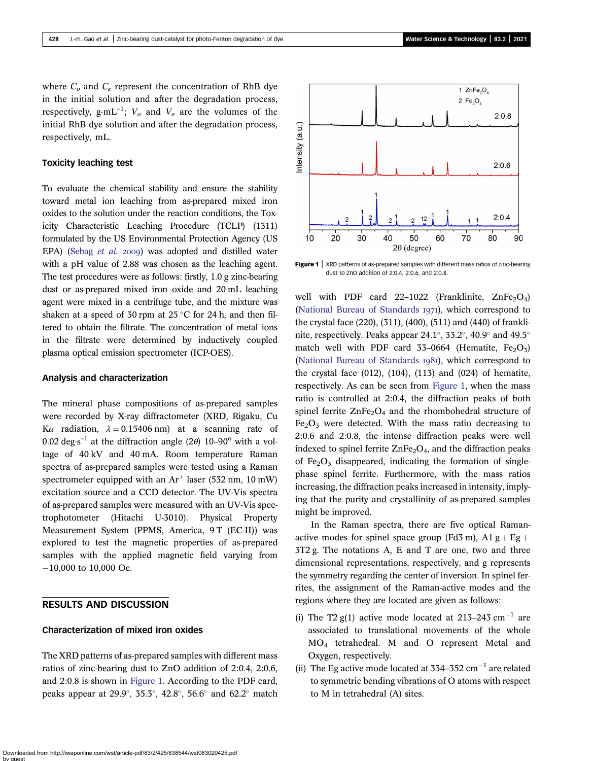where  $C<sub>o</sub>$  and  $C<sub>e</sub>$  represent the concentration of RhB dye in the initial solution and after the degradation process, respectively,  $g \cdot mL^{-1}$ ;  $V_o$  and  $V_e$  are the volumes of the initial RhB dye solution and after the degradation process, respectively, mL.

### Toxicity leaching test

To evaluate the chemical stability and ensure the stability toward metal ion leaching from as-prepared mixed iron oxides to the solution under the reaction conditions, the Toxicity Characteristic Leaching Procedure (TCLP) (1311) formulated by the US Environmental Protection Agency (US EPA) [\(Sebag](#page-8-0) et al. 2009) was adopted and distilled water with a pH value of 2.88 was chosen as the leaching agent. The test procedures were as follows: firstly, 1.0 g zinc-bearing dust or as-prepared mixed iron oxide and 20 mL leaching agent were mixed in a centrifuge tube, and the mixture was shaken at a speed of 30 rpm at  $25^{\circ}$ C for 24 h, and then filtered to obtain the filtrate. The concentration of metal ions in the filtrate were determined by inductively coupled plasma optical emission spectrometer (ICP-OES).

#### Analysis and characterization

The mineral phase compositions of as-prepared samples were recorded by X-ray diffractometer (XRD, Rigaku, Cu Ka radiation,  $\lambda = 0.15406$  nm) at a scanning rate of 0.02 deg $\cdot$ s<sup>-1</sup> at the diffraction angle (2 $\theta$ ) 10–90<sup>o</sup> with a voltage of 40 kV and 40 mA. Room temperature Raman spectra of as-prepared samples were tested using a Raman spectrometer equipped with an  $Ar^+$  laser (532 nm, 10 mW) excitation source and a CCD detector. The UV-Vis spectra of as-prepared samples were measured with an UV-Vis spectrophotometer (Hitachi U-3010). Physical Property Measurement System (PPMS, America, 9 T (EC-II)) was explored to test the magnetic properties of as-prepared samples with the applied magnetic field varying from -10,000 to 10,000 Oe.

## RESULTS AND DISCUSSION

### Characterization of mixed iron oxides

The XRD patterns of as-prepared samples with different mass ratios of zinc-bearing dust to ZnO addition of 2:0.4, 2:0.6, and 2:0.8 is shown in Figure 1. According to the PDF card, peaks appear at 29.9 $^{\circ}$ , 35.3 $^{\circ}$ , 42.8 $^{\circ}$ , 56.6 $^{\circ}$  and 62.2 $^{\circ}$  match



**Figure 1**  $\vert$  XRD patterns of as-prepared samples with different mass ratios of zinc-bearing dust to ZnO addition of 2:0.4, 2:0.6, and 2:0.8.

well with PDF card 22-1022 (Franklinite,  $ZnFe<sub>2</sub>O<sub>4</sub>$ ) ([National Bureau of Standards](#page-8-0) 1971), which correspond to the crystal face (220), (311), (400), (511) and (440) of franklinite, respectively. Peaks appear 24.1°, 33.2°, 40.9° and 49.5° match well with PDF card 33-0664 (Hematite,  $Fe<sub>2</sub>O<sub>3</sub>$ ) ([National Bureau of Standards](#page-8-0) 1981), which correspond to the crystal face (012), (104), (113) and (024) of hematite, respectively. As can be seen from Figure 1, when the mass ratio is controlled at 2:0.4, the diffraction peaks of both spinel ferrite  $\text{ZnFe}_2\text{O}_4$  and the rhombohedral structure of  $Fe<sub>2</sub>O<sub>3</sub>$  were detected. With the mass ratio decreasing to 2:0.6 and 2:0.8, the intense diffraction peaks were well indexed to spinel ferrite  $\text{ZnFe}_2\text{O}_4$ , and the diffraction peaks of  $Fe<sub>2</sub>O<sub>3</sub>$  disappeared, indicating the formation of singlephase spinel ferrite. Furthermore, with the mass ratios increasing, the diffraction peaks increased in intensity, implying that the purity and crystallinity of as-prepared samples might be improved.

In the Raman spectra, there are five optical Ramanactive modes for spinel space group (Fd3 m), A1 g + Eg + 3T2 g. The notations A, E and T are one, two and three dimensional representations, respectively, and g represents the symmetry regarding the center of inversion. In spinel ferrites, the assignment of the Raman-active modes and the regions where they are located are given as follows:

- (i) The T2 g(1) active mode located at 213-243  $cm^{-1}$  are associated to translational movements of the whole MO4 tetrahedral. M and O represent Metal and Oxygen, respectively.
- (ii) The Eg active mode located at  $334-352$  cm<sup>-1</sup> are related to symmetric bending vibrations of O atoms with respect to M in tetrahedral (A) sites.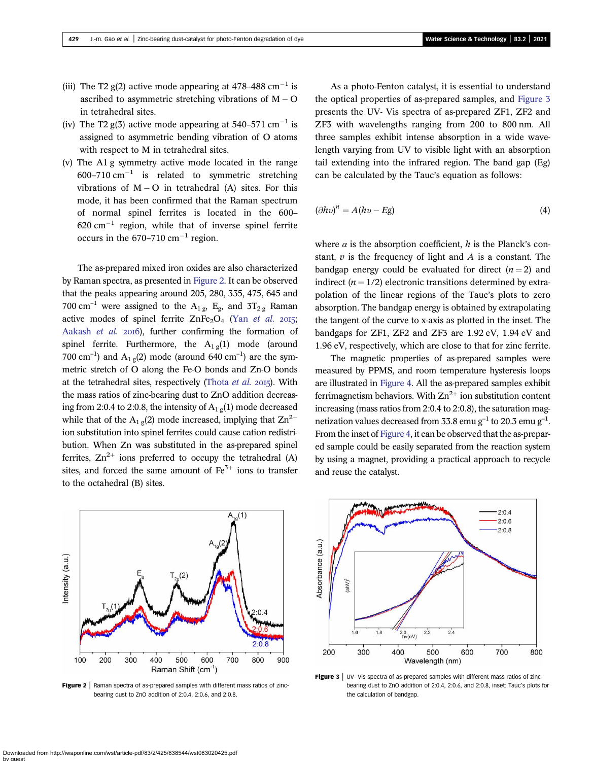- <span id="page-4-0"></span>(iii) The T2  $g(2)$  active mode appearing at 478–488 cm<sup>-1</sup> is ascribed to asymmetric stretching vibrations of  $M - O$ in tetrahedral sites.
- (iv) The T2 g(3) active mode appearing at  $540-571$  cm<sup>-1</sup> is assigned to asymmetric bending vibration of O atoms with respect to M in tetrahedral sites.
- (v) The A1 g symmetry active mode located in the range 600–710 cm<sup>-1</sup> is related to symmetric stretching vibrations of  $M - O$  in tetrahedral (A) sites. For this mode, it has been confirmed that the Raman spectrum of normal spinel ferrites is located in the 600–  $620 \text{ cm}^{-1}$  region, while that of inverse spinel ferrite occurs in the  $670-710$  cm<sup>-1</sup> region.

The as-prepared mixed iron oxides are also characterized by Raman spectra, as presented in Figure 2. It can be observed that the peaks appearing around 205, 280, 335, 475, 645 and 700 cm<sup>-1</sup> were assigned to the A<sub>1g</sub>, E<sub>g</sub>, and 3T<sub>2g</sub> Raman active modes of spinel ferrite  $ZnFe<sub>2</sub>O<sub>4</sub>$  (Yan [et al.](#page-9-0) 2015; [Aakash](#page-7-0) et al. 2016), further confirming the formation of spinel ferrite. Furthermore, the  $A_{1g}(1)$  mode (around 700 cm<sup>-1</sup>) and  $A_{1g}(2)$  mode (around 640 cm<sup>-1</sup>) are the symmetric stretch of O along the Fe-O bonds and Zn-O bonds at the tetrahedral sites, respectively [\(Thota](#page-8-0) et al. 2015). With the mass ratios of zinc-bearing dust to ZnO addition decreasing from 2:0.4 to 2:0.8, the intensity of  $A_{1g}(1)$  mode decreased while that of the A<sub>1 g</sub>(2) mode increased, implying that  $\text{Zn}^{2+}$ ion substitution into spinel ferrites could cause cation redistribution. When Zn was substituted in the as-prepared spinel ferrites,  $\text{Zn}^{2+}$  ions preferred to occupy the tetrahedral (A) sites, and forced the same amount of  $\text{Fe}^{3+}$  ions to transfer to the octahedral (B) sites.



Figure 2 | Raman spectra of as-prepared samples with different mass ratios of zincbearing dust to ZnO addition of 2:0.4, 2:0.6, and 2:0.8.

As a photo-Fenton catalyst, it is essential to understand the optical properties of as-prepared samples, and Figure 3 presents the UV- Vis spectra of as-prepared ZF1, ZF2 and ZF3 with wavelengths ranging from 200 to 800 nm. All three samples exhibit intense absorption in a wide wavelength varying from UV to visible light with an absorption tail extending into the infrared region. The band gap (Eg) can be calculated by the Tauc's equation as follows:

$$
(\partial h v)^n = A(hv - Eg) \tag{4}
$$

where  $\alpha$  is the absorption coefficient, h is the Planck's constant,  $v$  is the frequency of light and  $A$  is a constant. The bandgap energy could be evaluated for direct  $(n = 2)$  and indirect  $(n = 1/2)$  electronic transitions determined by extrapolation of the linear regions of the Tauc's plots to zero absorption. The bandgap energy is obtained by extrapolating the tangent of the curve to x-axis as plotted in the inset. The bandgaps for ZF1, ZF2 and ZF3 are 1.92 eV, 1.94 eV and 1.96 eV, respectively, which are close to that for zinc ferrite.

The magnetic properties of as-prepared samples were measured by PPMS, and room temperature hysteresis loops are illustrated in [Figure 4](#page-5-0). All the as-prepared samples exhibit ferrimagnetism behaviors. With  $\text{Zn}^{2+}$  ion substitution content increasing (mass ratios from 2:0.4 to 2:0.8), the saturation magnetization values decreased from 33.8 emu g<sup>-1</sup> to 20.3 emu g<sup>-1</sup>. From the inset of [Figure 4](#page-5-0), it can be observed that the as-prepared sample could be easily separated from the reaction system by using a magnet, providing a practical approach to recycle and reuse the catalyst.



Figure 3 | UV- Vis spectra of as-prepared samples with different mass ratios of zincbearing dust to ZnO addition of 2:0.4, 2:0.6, and 2:0.8, inset: Tauc's plots for the calculation of bandgap.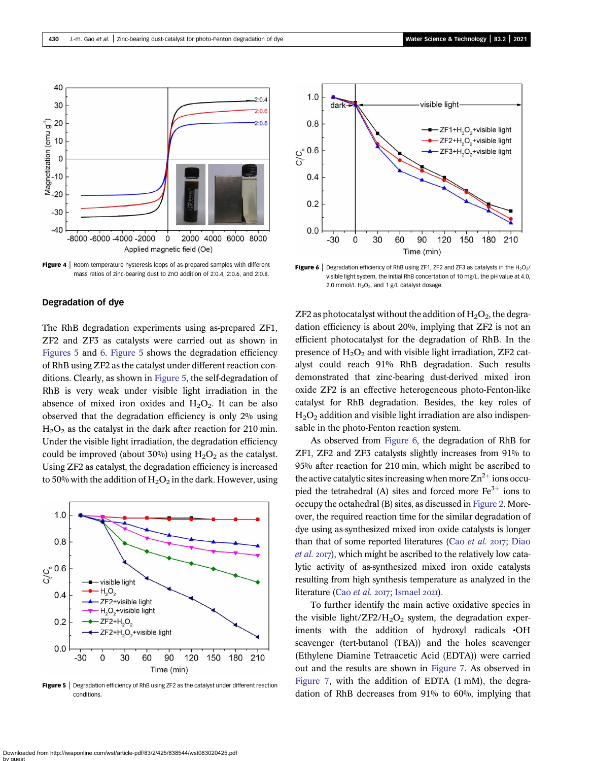<span id="page-5-0"></span>

**Figure 4** | Room temperature hysteresis loops of as-prepared samples with different mass ratios of zinc-bearing dust to ZnO addition of 2:0.4, 2:0.6, and 2:0.8.

#### Degradation of dye

The RhB degradation experiments using as-prepared ZF1, ZF2 and ZF3 as catalysts were carried out as shown in Figures 5 and 6. Figure 5 shows the degradation efficiency of RhB using ZF2 as the catalyst under different reaction conditions. Clearly, as shown in Figure 5, the self-degradation of RhB is very weak under visible light irradiation in the absence of mixed iron oxides and  $H_2O_2$ . It can be also observed that the degradation efficiency is only 2% using  $H<sub>2</sub>O<sub>2</sub>$  as the catalyst in the dark after reaction for 210 min. Under the visible light irradiation, the degradation efficiency could be improved (about 30%) using  $H_2O_2$  as the catalyst. Using ZF2 as catalyst, the degradation efficiency is increased to 50% with the addition of  $H_2O_2$  in the dark. However, using



Figure 5 | Degradation efficiency of RhB using ZF2 as the catalyst under different reaction conditions.



Figure 6 | Degradation efficiency of RhB using ZF1, ZF2 and ZF3 as catalysts in the  $H_2O_2/$ visible light system, the initial RhB concertation of 10 mg/L, the pH value at 4.0, 2.0 mmol/L  $H_2O_2$ , and 1 g/L catalyst dosage.

ZF2 as photocatalyst without the addition of  $H_2O_2$ , the degradation efficiency is about 20%, implying that ZF2 is not an efficient photocatalyst for the degradation of RhB. In the presence of  $H_2O_2$  and with visible light irradiation, ZF2 catalyst could reach 91% RhB degradation. Such results demonstrated that zinc-bearing dust-derived mixed iron oxide ZF2 is an effective heterogeneous photo-Fenton-like catalyst for RhB degradation. Besides, the key roles of  $H<sub>2</sub>O<sub>2</sub>$  addition and visible light irradiation are also indispensable in the photo-Fenton reaction system.

As observed from Figure 6, the degradation of RhB for ZF1, ZF2 and ZF3 catalysts slightly increases from 91% to 95% after reaction for 210 min, which might be ascribed to the active catalytic sites increasing when more  $\text{Zn}^{2+}$  ions occupied the tetrahedral (A) sites and forced more  $Fe<sup>3+</sup>$  ions to occupy the octahedral (B) sites, as discussed in [Figure 2.](#page-4-0) Moreover, the required reaction time for the similar degradation of dye using as-synthesized mixed iron oxide catalysts is longer than that of some reported literatures (Cao [et al.](#page-8-0)  $2017$ ; [Diao](#page-8-0)  $et al. 2017$  $et al. 2017$ , which might be ascribed to the relatively low catalytic activity of as-synthesized mixed iron oxide catalysts resulting from high synthesis temperature as analyzed in the literature (Cao [et al.](#page-8-0) 2017; [Ismael](#page-8-0) 2021).

To further identify the main active oxidative species in the visible light/ZF2/ $H_2O_2$  system, the degradation experiments with the addition of hydroxyl radicals •OH scavenger (tert-butanol (TBA)) and the holes scavenger (Ethylene Diamine Tetraacetic Acid (EDTA)) were carried out and the results are shown in [Figure 7.](#page-6-0) As observed in [Figure 7,](#page-6-0) with the addition of EDTA (1 mM), the degradation of RhB decreases from 91% to 60%, implying that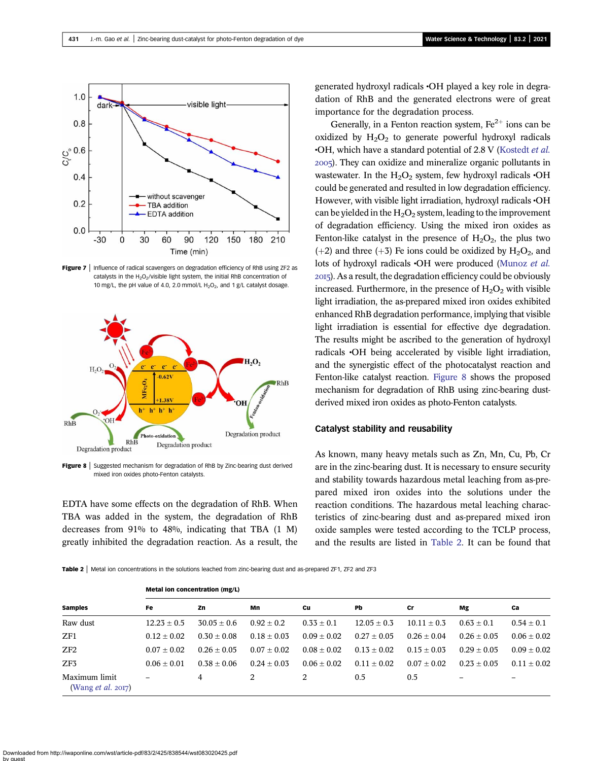<span id="page-6-0"></span>

Figure  $7$  | Influence of radical scavengers on degradation efficiency of RhB using ZF2 as catalysts in the  $H_2O_2$ /visible light system, the initial RhB concentration of 10 mg/L, the pH value of 4.0, 2.0 mmol/L  $H_2O_2$ , and 1 g/L catalyst dosage.



**Figure 8** Suggested mechanism for degradation of RhB by Zinc-bearing dust derived mixed iron oxides photo-Fenton catalysts.

EDTA have some effects on the degradation of RhB. When TBA was added in the system, the degradation of RhB decreases from 91% to 48%, indicating that TBA (1 M) greatly inhibited the degradation reaction. As a result, the generated hydroxyl radicals •OH played a key role in degradation of RhB and the generated electrons were of great importance for the degradation process.

Generally, in a Fenton reaction system,  $Fe<sup>2+</sup>$  ions can be oxidized by  $H_2O_2$  to generate powerful hydroxyl radicals •OH, which have a standard potential of 2.8 V ([Kostedt](#page-8-0) et al. ). They can oxidize and mineralize organic pollutants in wastewater. In the  $H_2O_2$  system, few hydroxyl radicals  $\cdot$ OH could be generated and resulted in low degradation efficiency. However, with visible light irradiation, hydroxyl radicals •OH can be yielded in the  $H_2O_2$  system, leading to the improvement of degradation efficiency. Using the mixed iron oxides as Fenton-like catalyst in the presence of  $H_2O_2$ , the plus two (+2) and three (+3) Fe ions could be oxidized by  $H_2O_2$ , and lots of hydroxyl radicals •OH were produced ([Munoz](#page-8-0) et al. ). As a result, the degradation efficiency could be obviously increased. Furthermore, in the presence of  $H_2O_2$  with visible light irradiation, the as-prepared mixed iron oxides exhibited enhanced RhB degradation performance, implying that visible light irradiation is essential for effective dye degradation. The results might be ascribed to the generation of hydroxyl radicals •OH being accelerated by visible light irradiation, and the synergistic effect of the photocatalyst reaction and Fenton-like catalyst reaction. Figure 8 shows the proposed mechanism for degradation of RhB using zinc-bearing dustderived mixed iron oxides as photo-Fenton catalysts.

#### Catalyst stability and reusability

As known, many heavy metals such as Zn, Mn, Cu, Pb, Cr are in the zinc-bearing dust. It is necessary to ensure security and stability towards hazardous metal leaching from as-prepared mixed iron oxides into the solutions under the reaction conditions. The hazardous metal leaching characteristics of zinc-bearing dust and as-prepared mixed iron oxide samples were tested according to the TCLP process, and the results are listed in Table 2. It can be found that

Table 2 | Metal ion concentrations in the solutions leached from zinc-bearing dust and as-prepared ZF1, ZF2 and ZF3

| <b>Samples</b>                             | <b>Metal ion concentration (mg/L)</b> |                 |                 |                 |                 |                 |                 |                 |  |  |  |
|--------------------------------------------|---------------------------------------|-----------------|-----------------|-----------------|-----------------|-----------------|-----------------|-----------------|--|--|--|
|                                            | Fe                                    | Zn              | Mn              | Cu              | Pb              | Cr              | Mg              | Ca              |  |  |  |
| Raw dust                                   | $12.23 \pm 0.5$                       | $30.05 + 0.6$   | $0.92 + 0.2$    | $0.33 + 0.1$    | $12.05 \pm 0.3$ | $10.11 + 0.3$   | $0.63 \pm 0.1$  | $0.54 \pm 0.1$  |  |  |  |
| ZF1                                        | $0.12 \pm 0.02$                       | $0.30 \pm 0.08$ | $0.18 + 0.03$   | $0.09 + 0.02$   | $0.27 \pm 0.05$ | $0.26 \pm 0.04$ | $0.26 \pm 0.05$ | $0.06 \pm 0.02$ |  |  |  |
| ZF2                                        | $0.07 + 0.02$                         | $0.26 \pm 0.05$ | $0.07 \pm 0.02$ | $0.08 + 0.02$   | $0.13 \pm 0.02$ | $0.15 \pm 0.03$ | $0.29 + 0.05$   | $0.09 + 0.02$   |  |  |  |
| ZF <sub>3</sub>                            | $0.06 \pm 0.01$                       | $0.38 + 0.06$   | $0.24 + 0.03$   | $0.06 \pm 0.02$ | $0.11 \pm 0.02$ | $0.07 + 0.02$   | $0.23 + 0.05$   | $0.11 + 0.02$   |  |  |  |
| Maximum limit<br>(Wang <i>et al.</i> 2017) | -                                     | 4               | 2               | 2               | 0.5             | 0.5             |                 |                 |  |  |  |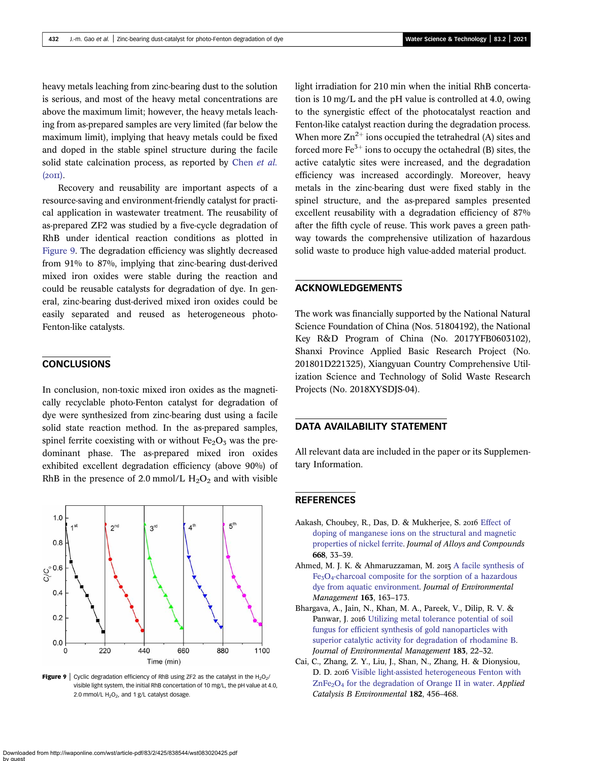<span id="page-7-0"></span>heavy metals leaching from zinc-bearing dust to the solution is serious, and most of the heavy metal concentrations are above the maximum limit; however, the heavy metals leaching from as-prepared samples are very limited (far below the maximum limit), implying that heavy metals could be fixed and doped in the stable spinel structure during the facile solid state calcination process, as reported by [Chen](#page-8-0) et al.  $(20\text{II}).$ 

Recovery and reusability are important aspects of a resource-saving and environment-friendly catalyst for practical application in wastewater treatment. The reusability of as-prepared ZF2 was studied by a five-cycle degradation of RhB under identical reaction conditions as plotted in Figure 9. The degradation efficiency was slightly decreased from 91% to 87%, implying that zinc-bearing dust-derived mixed iron oxides were stable during the reaction and could be reusable catalysts for degradation of dye. In general, zinc-bearing dust-derived mixed iron oxides could be easily separated and reused as heterogeneous photo-Fenton-like catalysts.

## CONCLUSIONS

In conclusion, non-toxic mixed iron oxides as the magnetically recyclable photo-Fenton catalyst for degradation of dye were synthesized from zinc-bearing dust using a facile solid state reaction method. In the as-prepared samples, spinel ferrite coexisting with or without  $Fe<sub>2</sub>O<sub>3</sub>$  was the predominant phase. The as-prepared mixed iron oxides exhibited excellent degradation efficiency (above 90%) of RhB in the presence of 2.0 mmol/L  $H_2O_2$  and with visible



Figure 9 | Cyclic degradation efficiency of RhB using ZF2 as the catalyst in the  $H_2O_2/$ visible light system, the initial RhB concertation of 10 mg/L, the pH value at 4.0, 2.0 mmol/L  $H_2O_2$ , and 1 g/L catalyst dosage.

light irradiation for 210 min when the initial RhB concertation is 10 mg/L and the pH value is controlled at 4.0, owing to the synergistic effect of the photocatalyst reaction and Fenton-like catalyst reaction during the degradation process. When more  $\text{Zn}^{2+}$  ions occupied the tetrahedral (A) sites and forced more  $Fe<sup>3+</sup>$  ions to occupy the octahedral (B) sites, the active catalytic sites were increased, and the degradation efficiency was increased accordingly. Moreover, heavy metals in the zinc-bearing dust were fixed stably in the spinel structure, and the as-prepared samples presented excellent reusability with a degradation efficiency of 87% after the fifth cycle of reuse. This work paves a green pathway towards the comprehensive utilization of hazardous solid waste to produce high value-added material product.

## ACKNOWLEDGEMENTS

The work was financially supported by the National Natural Science Foundation of China (Nos. 51804192), the National Key R&D Program of China (No. 2017YFB0603102), Shanxi Province Applied Basic Research Project (No. 201801D221325), Xiangyuan Country Comprehensive Utilization Science and Technology of Solid Waste Research Projects (No. 2018XYSDJS-04).

## DATA AVAILABILITY STATEMENT

All relevant data are included in the paper or its Supplementary Information.

#### **REFERENCES**

- Aakash, Choubey, R., Das, D. & Mukherjee, S. 2016 [Effect of](http://dx.doi.org/10.1016/j.jallcom.2016.01.198) [doping of manganese ions on the structural and magnetic](http://dx.doi.org/10.1016/j.jallcom.2016.01.198) [properties of nickel ferrite](http://dx.doi.org/10.1016/j.jallcom.2016.01.198). Journal of Alloys and Compounds 668, 33–39.
- Ahmed, M. J. K. & Ahmaruzzaman, M. 2015 [A facile synthesis of](http://dx.doi.org/10.1016/j.jenvman.2015.08.011) [Fe3O4-charcoal composite for the sorption of a hazardous](http://dx.doi.org/10.1016/j.jenvman.2015.08.011) [dye from aquatic environment.](http://dx.doi.org/10.1016/j.jenvman.2015.08.011) Journal of Environmental Management 163, 163–173.
- Bhargava, A., Jain, N., Khan, M. A., Pareek, V., Dilip, R. V. & Panwar, J. 2016 [Utilizing metal tolerance potential of soil](http://dx.doi.org/10.1016/j.jenvman.2016.08.021) [fungus for efficient synthesis of gold nanoparticles with](http://dx.doi.org/10.1016/j.jenvman.2016.08.021) [superior catalytic activity for degradation of rhodamine B](http://dx.doi.org/10.1016/j.jenvman.2016.08.021). Journal of Environmental Management 183, 22–32.
- Cai, C., Zhang, Z. Y., Liu, J., Shan, N., Zhang, H. & Dionysiou, D. D. 2016 [Visible light-assisted heterogeneous Fenton with](http://dx.doi.org/10.1016/j.apcatb.2015.09.056)  $ZnFe<sub>2</sub>O<sub>4</sub>$  [for the degradation of Orange II in water](http://dx.doi.org/10.1016/j.apcatb.2015.09.056). Applied Catalysis B Environmental 182, 456–468.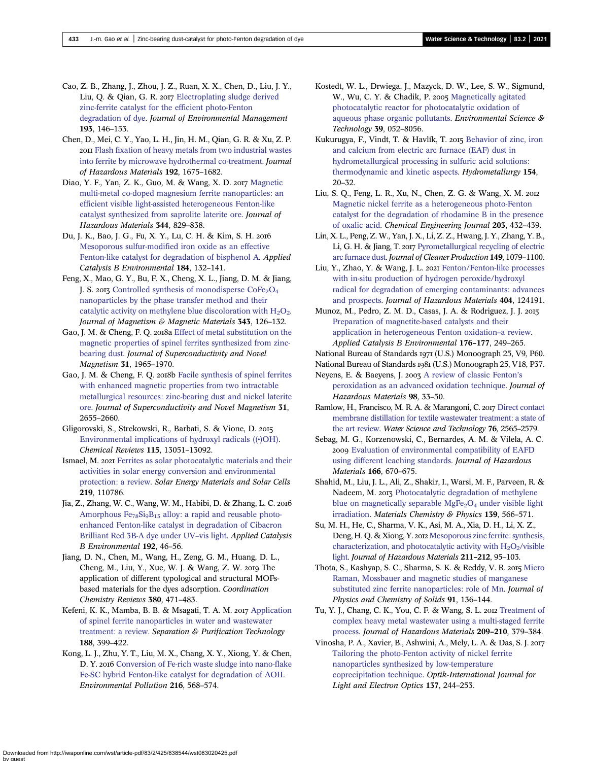<span id="page-8-0"></span>Cao, Z. B., Zhang, J., Zhou, J. Z., Ruan, X. X., Chen, D., Liu, J. Y., Liu, Q. & Qian, G. R. 2017 [Electroplating sludge derived](http://dx.doi.org/10.1016/j.jenvman.2016.11.039) [zinc-ferrite catalyst for the efficient photo-Fenton](http://dx.doi.org/10.1016/j.jenvman.2016.11.039) [degradation of dye](http://dx.doi.org/10.1016/j.jenvman.2016.11.039). Journal of Environmental Management 193, 146–153.

Chen, D., Mei, C. Y., Yao, L. H., Jin, H. M., Qian, G. R. & Xu, Z. P. [Flash fixation of heavy metals from two industrial wastes](http://dx.doi.org/10.1016/j.jhazmat.2011.06.091) [into ferrite by microwave hydrothermal co-treatment.](http://dx.doi.org/10.1016/j.jhazmat.2011.06.091) Journal of Hazardous Materials 192, 1675–1682.

Diao, Y. F., Yan, Z. K., Guo, M. & Wang, X. D. 2017 [Magnetic](http://dx.doi.org/10.1016/j.jhazmat.2017.11.029) [multi-metal co-doped magnesium ferrite nanoparticles: an](http://dx.doi.org/10.1016/j.jhazmat.2017.11.029) [efficient visible light-assisted heterogeneous Fenton-like](http://dx.doi.org/10.1016/j.jhazmat.2017.11.029) [catalyst synthesized from saprolite laterite ore](http://dx.doi.org/10.1016/j.jhazmat.2017.11.029). Journal of Hazardous Materials 344, 829–838.

Du, J. K., Bao, J. G., Fu, X. Y., Lu, C. H. & Kim, S. H. [Mesoporous sulfur-modified iron oxide as an effective](http://dx.doi.org/10.1016/j.apcatb.2015.11.015) [Fenton-like catalyst for degradation of bisphenol A](http://dx.doi.org/10.1016/j.apcatb.2015.11.015). Applied Catalysis B Environmental 184, 132–141.

Feng, X., Mao, G. Y., Bu, F. X., Cheng, X. L., Jiang, D. M. & Jiang, J. S. 2013 Controlled synthesis of monodisperse  $\text{CoFe}_2\text{O}_4$ [nanoparticles by the phase transfer method and their](http://dx.doi.org/10.1016/j.jmmm.2013.05.001) catalytic activity on methylene blue discoloration with  $H_2O_2$ . Journal of Magnetism & Magnetic Materials 343, 126–132.

Gao, J. M. & Cheng, F. Q. 2018a [Effect of metal substitution on the](http://dx.doi.org/10.1007/s10948-018-4690-z) [magnetic properties of spinel ferrites synthesized from zinc](http://dx.doi.org/10.1007/s10948-018-4690-z)[bearing dust](http://dx.doi.org/10.1007/s10948-018-4690-z). Journal of Superconductivity and Novel Magnetism 31, 1965–1970.

Gao, J. M. & Cheng, F. Q. 2018b [Facile synthesis of spinel ferrites](http://dx.doi.org/10.1007/s10948-017-4531-5) [with enhanced magnetic properties from two intractable](http://dx.doi.org/10.1007/s10948-017-4531-5) [metallurgical resources: zinc-bearing dust and nickel laterite](http://dx.doi.org/10.1007/s10948-017-4531-5) [ore.](http://dx.doi.org/10.1007/s10948-017-4531-5) Journal of Superconductivity and Novel Magnetism 31, 2655–2660.

Gligorovski, S., Strekowski, R., Barbati, S. & Vione, D. [Environmental implications of hydroxyl radicals \(\(](http://dx.doi.org/10.1021/cr500310b)•)OH). Chemical Reviews 115, 13051–13092.

Ismael, M. 2021 [Ferrites as solar photocatalytic materials and their](http://dx.doi.org/10.1016/j.solmat.2020.110786) [activities in solar energy conversion and environmental](http://dx.doi.org/10.1016/j.solmat.2020.110786) [protection: a review.](http://dx.doi.org/10.1016/j.solmat.2020.110786) Solar Energy Materials and Solar Cells 219, 110786.

Jia, Z., Zhang, W. C., Wang, W. M., Habibi, D. & Zhang, L. C. Amorphous  $Fe_{78}Si_9B_{13}$  [alloy: a rapid and reusable photo](http://dx.doi.org/10.1016/j.apcatb.2016.03.048)[enhanced Fenton-like catalyst in degradation of Cibacron](http://dx.doi.org/10.1016/j.apcatb.2016.03.048) [Brilliant Red 3B-A dye under UV](http://dx.doi.org/10.1016/j.apcatb.2016.03.048)–vis light. Applied Catalysis B Environmental 192, 46–56.

Jiang, D. N., Chen, M., Wang, H., Zeng, G. M., Huang, D. L., Cheng, M., Liu, Y., Xue, W. J. & Wang, Z. W. 2019 The application of different typological and structural MOFsbased materials for the dyes adsorption. Coordination Chemistry Reviews 380, 471–483.

Kefeni, K. K., Mamba, B. B. & Msagati, T. A. M. 2017 [Application](http://dx.doi.org/10.1016/j.seppur.2017.07.015) [of spinel ferrite nanoparticles in water and wastewater](http://dx.doi.org/10.1016/j.seppur.2017.07.015) [treatment: a review](http://dx.doi.org/10.1016/j.seppur.2017.07.015). Separation & Purification Technology 188, 399–422.

Kong, L. J., Zhu, Y. T., Liu, M. X., Chang, X. Y., Xiong, Y. & Chen, D. Y. 2016 [Conversion of Fe-rich waste sludge into nano-flake](http://dx.doi.org/10.1016/j.envpol.2016.06.012) [Fe-SC hybrid Fenton-like catalyst for degradation of AOII](http://dx.doi.org/10.1016/j.envpol.2016.06.012). Environmental Pollution 216, 568–574.

Kostedt, W. L., Drwiega, J., Mazyck, D. W., Lee, S. W., Sigmund, W., Wu, C. Y. & Chadik, P. 2005 [Magnetically agitated](http://dx.doi.org/10.1021/es0508121) [photocatalytic reactor for photocatalytic oxidation of](http://dx.doi.org/10.1021/es0508121) [aqueous phase organic pollutants.](http://dx.doi.org/10.1021/es0508121) Environmental Science & Technology 39, 052–8056.

Kukurugya, F., Vindt, T. & Havlík, T. 2015 [Behavior of zinc, iron](http://dx.doi.org/10.1016/j.hydromet.2015.03.008) [and calcium from electric arc furnace \(EAF\) dust in](http://dx.doi.org/10.1016/j.hydromet.2015.03.008) [hydrometallurgical processing in sulfuric acid solutions:](http://dx.doi.org/10.1016/j.hydromet.2015.03.008) [thermodynamic and kinetic aspects.](http://dx.doi.org/10.1016/j.hydromet.2015.03.008) Hydrometallurgy 154, 20–32.

Liu, S. Q., Feng, L. R., Xu, N., Chen, Z. G. & Wang, X. M. [Magnetic nickel ferrite as a heterogeneous photo-Fenton](http://dx.doi.org/10.1016/j.cej.2012.07.071) [catalyst for the degradation of rhodamine B in the presence](http://dx.doi.org/10.1016/j.cej.2012.07.071) [of oxalic acid.](http://dx.doi.org/10.1016/j.cej.2012.07.071) Chemical Engineering Journal 203, 432–439.

Lin, X. L., Peng, Z. W., Yan, J. X., Li, Z. Z., Hwang, J. Y., Zhang, Y. B., Li, G. H. & Jiang, T. 2017 [Pyrometallurgical recycling of electric](http://dx.doi.org/10.1016/j.jclepro.2017.02.128) [arc furnace dust.](http://dx.doi.org/10.1016/j.jclepro.2017.02.128) Journal of Cleaner Production 149, 1079–1100.

Liu, Y., Zhao, Y. & Wang, J. L. 2021 [Fenton/Fenton-like processes](http://dx.doi.org/10.1016/j.jhazmat.2020.124191) [with in-situ production of hydrogen peroxide/hydroxyl](http://dx.doi.org/10.1016/j.jhazmat.2020.124191) [radical for degradation of emerging contaminants: advances](http://dx.doi.org/10.1016/j.jhazmat.2020.124191) [and prospects](http://dx.doi.org/10.1016/j.jhazmat.2020.124191). Journal of Hazardous Materials 404, 124191.

Munoz, M., Pedro, Z. M. D., Casas, J. A. & Rodriguez, J. J. [Preparation of magnetite-based catalysts and their](http://dx.doi.org/10.1016/j.apcatb.2015.04.003) [application in heterogeneous Fenton oxidation](http://dx.doi.org/10.1016/j.apcatb.2015.04.003)–a review. Applied Catalysis B Environmental 176–177, 249–265.

National Bureau of Standards 1971 (U.S.) Monoograph 25, V9, P60.

National Bureau of Standards (U.S.) Monoograph 25, V18, P37.

Neyens, E. & Baeyens, J. 2003 [A review of classic Fenton](http://dx.doi.org/10.1016/S0304-3894(02)00282-0)'s [peroxidation as an advanced oxidation technique.](http://dx.doi.org/10.1016/S0304-3894(02)00282-0) Journal of Hazardous Materials 98, 33–50.

Ramlow, H., Francisco, M. R. A. & Marangoni, C. 2017 [Direct contact](http://dx.doi.org/10.2166/wst.2017.449) [membrane distillation for textile wastewater treatment: a state of](http://dx.doi.org/10.2166/wst.2017.449) [the art review.](http://dx.doi.org/10.2166/wst.2017.449) Water Science and Technology 76, 2565–2579.

Sebag, M. G., Korzenowski, C., Bernardes, A. M. & Vilela, A. C. [Evaluation of environmental compatibility of EAFD](http://dx.doi.org/10.1016/j.jhazmat.2008.11.125) [using different leaching standards.](http://dx.doi.org/10.1016/j.jhazmat.2008.11.125) Journal of Hazardous Materials 166, 670–675.

Shahid, M., Liu, J. L., Ali, Z., Shakir, I., Warsi, M. F., Parveen, R. & Nadeem, M. 2013 [Photocatalytic degradation of methylene](http://dx.doi.org/10.1016/j.matchemphys.2013.01.058) blue on magnetically separable  $MgFe<sub>2</sub>O<sub>4</sub>$  [under visible light](http://dx.doi.org/10.1016/j.matchemphys.2013.01.058) [irradiation.](http://dx.doi.org/10.1016/j.matchemphys.2013.01.058) Materials Chemistry & Physics 139, 566-571.

Su, M. H., He, C., Sharma, V. K., Asi, M. A., Xia, D. H., Li, X. Z., Deng, H. Q. & Xiong, Y. 2012 [Mesoporous zinc ferrite: synthesis,](http://dx.doi.org/10.1016/j.jhazmat.2011.10.006) characterization, and photocatalytic activity with  $H_2O_2$ /visible [light](http://dx.doi.org/10.1016/j.jhazmat.2011.10.006). Journal of Hazardous Materials 211–212, 95–103.

Thota, S., Kashyap, S. C., Sharma, S. K. & Reddy, V. R. 2015 [Micro](http://dx.doi.org/10.1016/j.jpcs.2015.12.013) [Raman, Mossbauer and magnetic studies of manganese](http://dx.doi.org/10.1016/j.jpcs.2015.12.013) [substituted zinc ferrite nanoparticles: role of Mn.](http://dx.doi.org/10.1016/j.jpcs.2015.12.013) Journal of Physics and Chemistry of Solids 91, 136–144.

Tu, Y. J., Chang, C. K., You, C. F. & Wang, S. L. 2012 [Treatment of](http://dx.doi.org/10.1016/j.jhazmat.2012.01.050) [complex heavy metal wastewater using a multi-staged ferrite](http://dx.doi.org/10.1016/j.jhazmat.2012.01.050) [process.](http://dx.doi.org/10.1016/j.jhazmat.2012.01.050) Journal of Hazardous Materials 209–210, 379–384.

Vinosha, P. A., Xavier, B., Ashwini, A., Mely, L. A. & Das, S. J. [Tailoring the photo-Fenton activity of nickel ferrite](http://dx.doi.org/10.1016/j.ijleo.2017.02.089) [nanoparticles synthesized by low-temperature](http://dx.doi.org/10.1016/j.ijleo.2017.02.089) [coprecipitation technique](http://dx.doi.org/10.1016/j.ijleo.2017.02.089). Optik-International Journal for Light and Electron Optics 137, 244–253.

Downloaded from http://iwaponline.com/wst/article-pdf/83/2/425/838544/wst083020425.pdf by guest